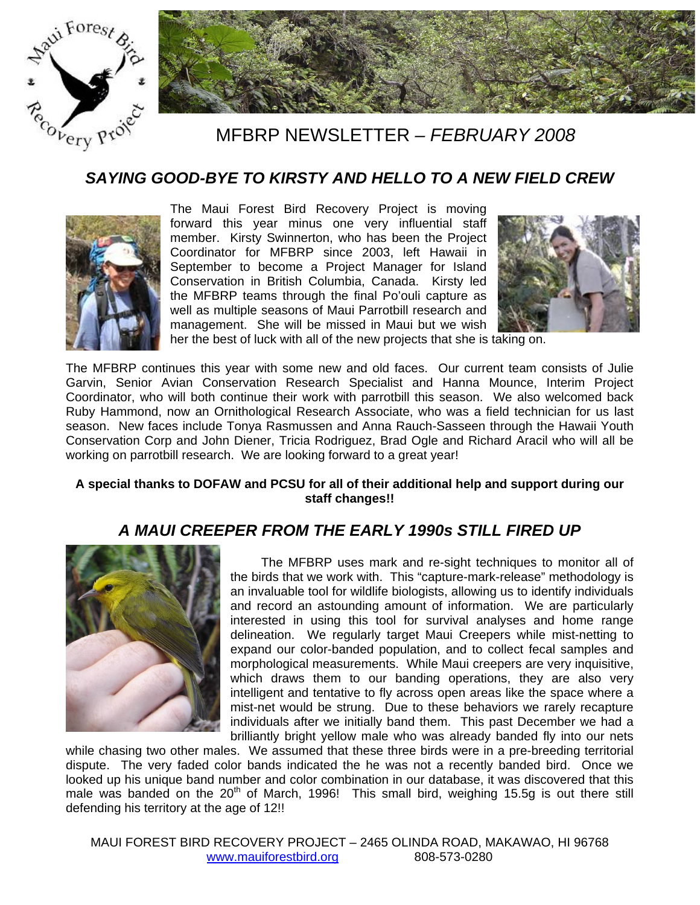



## MFBRP NEWSLETTER *– FEBRUARY 2008*

#### *SAYING GOOD-BYE TO KIRSTY AND HELLO TO A NEW FIELD CREW*



The Maui Forest Bird Recovery Project is moving forward this year minus one very influential staff member. Kirsty Swinnerton, who has been the Project Coordinator for MFBRP since 2003, left Hawaii in September to become a Project Manager for Island Conservation in British Columbia, Canada. Kirsty led the MFBRP teams through the final Po'ouli capture as well as multiple seasons of Maui Parrotbill research and management. She will be missed in Maui but we wish



her the best of luck with all of the new projects that she is taking on.

The MFBRP continues this year with some new and old faces. Our current team consists of Julie Garvin, Senior Avian Conservation Research Specialist and Hanna Mounce, Interim Project Coordinator, who will both continue their work with parrotbill this season. We also welcomed back Ruby Hammond, now an Ornithological Research Associate, who was a field technician for us last season. New faces include Tonya Rasmussen and Anna Rauch-Sasseen through the Hawaii Youth Conservation Corp and John Diener, Tricia Rodriguez, Brad Ogle and Richard Aracil who will all be working on parrotbill research. We are looking forward to a great year!

#### **A special thanks to DOFAW and PCSU for all of their additional help and support during our staff changes!!**

#### *A MAUI CREEPER FROM THE EARLY 1990s STILL FIRED UP*



The MFBRP uses mark and re-sight techniques to monitor all of the birds that we work with. This "capture-mark-release" methodology is an invaluable tool for wildlife biologists, allowing us to identify individuals and record an astounding amount of information. We are particularly interested in using this tool for survival analyses and home range delineation. We regularly target Maui Creepers while mist-netting to expand our color-banded population, and to collect fecal samples and morphological measurements. While Maui creepers are very inquisitive, which draws them to our banding operations, they are also very intelligent and tentative to fly across open areas like the space where a mist-net would be strung. Due to these behaviors we rarely recapture individuals after we initially band them. This past December we had a brilliantly bright yellow male who was already banded fly into our nets

while chasing two other males. We assumed that these three birds were in a pre-breeding territorial dispute. The very faded color bands indicated the he was not a recently banded bird. Once we looked up his unique band number and color combination in our database, it was discovered that this male was banded on the  $20<sup>th</sup>$  of March, 1996! This small bird, weighing 15.5g is out there still defending his territory at the age of 12!!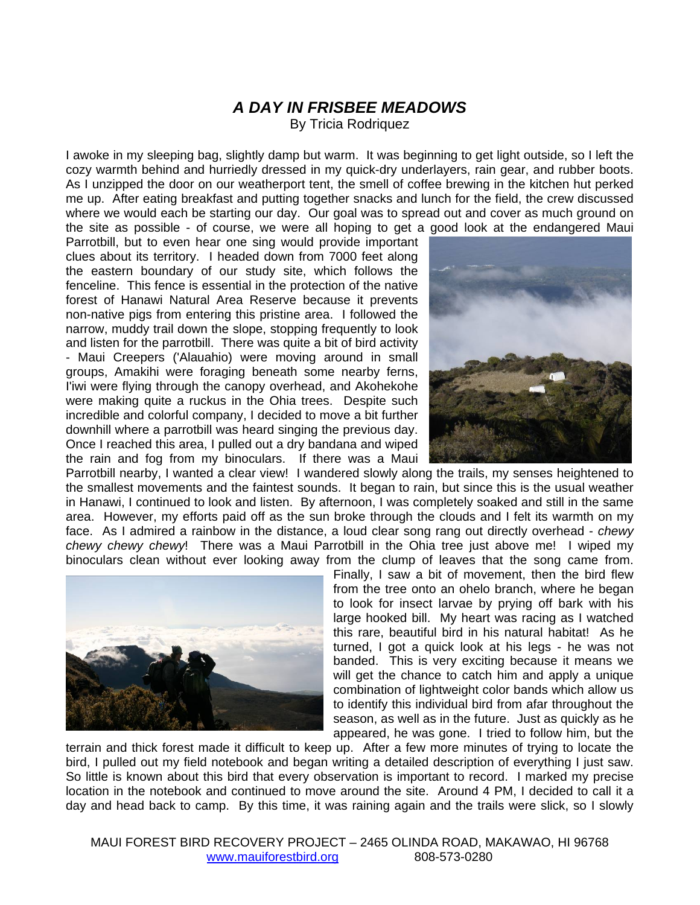# *A DAY IN FRISBEE MEADOWS*

By Tricia Rodriquez

I awoke in my sleeping bag, slightly damp but warm. It was beginning to get light outside, so I left the cozy warmth behind and hurriedly dressed in my quick-dry underlayers, rain gear, and rubber boots. As I unzipped the door on our weatherport tent, the smell of coffee brewing in the kitchen hut perked me up. After eating breakfast and putting together snacks and lunch for the field, the crew discussed where we would each be starting our day. Our goal was to spread out and cover as much ground on the site as possible - of course, we were all hoping to get a good look at the endangered Maui

Parrotbill, but to even hear one sing would provide important clues about its territory. I headed down from 7000 feet along the eastern boundary of our study site, which follows the fenceline. This fence is essential in the protection of the native forest of Hanawi Natural Area Reserve because it prevents non-native pigs from entering this pristine area. I followed the narrow, muddy trail down the slope, stopping frequently to look and listen for the parrotbill. There was quite a bit of bird activity - Maui Creepers ('Alauahio) were moving around in small groups, Amakihi were foraging beneath some nearby ferns, I'iwi were flying through the canopy overhead, and Akohekohe were making quite a ruckus in the Ohia trees. Despite such incredible and colorful company, I decided to move a bit further downhill where a parrotbill was heard singing the previous day. Once I reached this area, I pulled out a dry bandana and wiped the rain and fog from my binoculars. If there was a Maui



Parrotbill nearby, I wanted a clear view! I wandered slowly along the trails, my senses heightened to the smallest movements and the faintest sounds. It began to rain, but since this is the usual weather in Hanawi, I continued to look and listen. By afternoon, I was completely soaked and still in the same area. However, my efforts paid off as the sun broke through the clouds and I felt its warmth on my face. As I admired a rainbow in the distance, a loud clear song rang out directly overhead - *chewy chewy chewy chewy*! There was a Maui Parrotbill in the Ohia tree just above me! I wiped my binoculars clean without ever looking away from the clump of leaves that the song came from.



Finally, I saw a bit of movement, then the bird flew from the tree onto an ohelo branch, where he began to look for insect larvae by prying off bark with his large hooked bill. My heart was racing as I watched this rare, beautiful bird in his natural habitat! As he turned, I got a quick look at his legs - he was not banded. This is very exciting because it means we will get the chance to catch him and apply a unique combination of lightweight color bands which allow us to identify this individual bird from afar throughout the season, as well as in the future. Just as quickly as he appeared, he was gone. I tried to follow him, but the

terrain and thick forest made it difficult to keep up. After a few more minutes of trying to locate the bird, I pulled out my field notebook and began writing a detailed description of everything I just saw. So little is known about this bird that every observation is important to record. I marked my precise location in the notebook and continued to move around the site. Around 4 PM, I decided to call it a day and head back to camp. By this time, it was raining again and the trails were slick, so I slowly